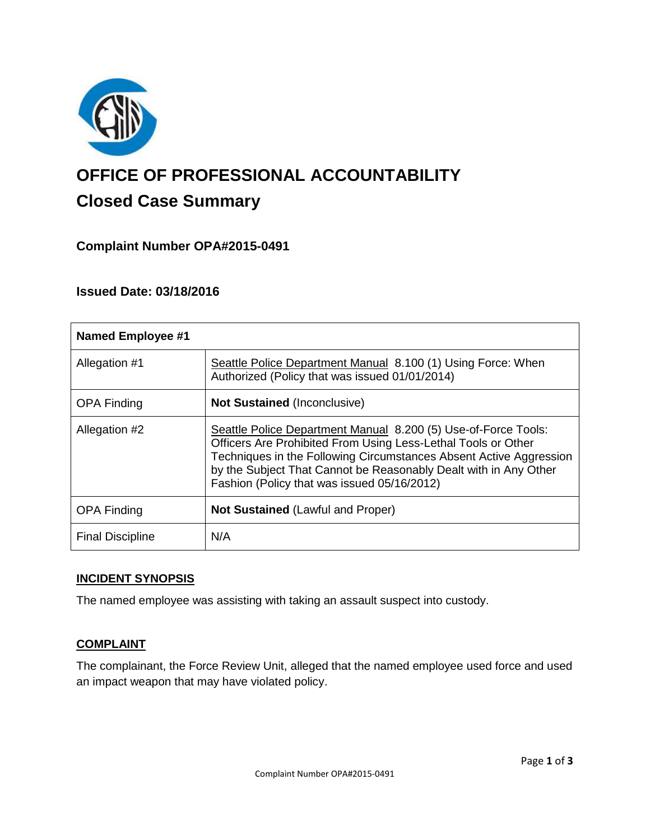

# **OFFICE OF PROFESSIONAL ACCOUNTABILITY Closed Case Summary**

# **Complaint Number OPA#2015-0491**

# **Issued Date: 03/18/2016**

| <b>Named Employee #1</b> |                                                                                                                                                                                                                                                                                                                          |
|--------------------------|--------------------------------------------------------------------------------------------------------------------------------------------------------------------------------------------------------------------------------------------------------------------------------------------------------------------------|
| Allegation #1            | Seattle Police Department Manual 8.100 (1) Using Force: When<br>Authorized (Policy that was issued 01/01/2014)                                                                                                                                                                                                           |
| <b>OPA Finding</b>       | <b>Not Sustained (Inconclusive)</b>                                                                                                                                                                                                                                                                                      |
| Allegation #2            | Seattle Police Department Manual 8.200 (5) Use-of-Force Tools:<br>Officers Are Prohibited From Using Less-Lethal Tools or Other<br>Techniques in the Following Circumstances Absent Active Aggression<br>by the Subject That Cannot be Reasonably Dealt with in Any Other<br>Fashion (Policy that was issued 05/16/2012) |
| <b>OPA Finding</b>       | <b>Not Sustained (Lawful and Proper)</b>                                                                                                                                                                                                                                                                                 |
| <b>Final Discipline</b>  | N/A                                                                                                                                                                                                                                                                                                                      |

### **INCIDENT SYNOPSIS**

The named employee was assisting with taking an assault suspect into custody.

### **COMPLAINT**

The complainant, the Force Review Unit, alleged that the named employee used force and used an impact weapon that may have violated policy.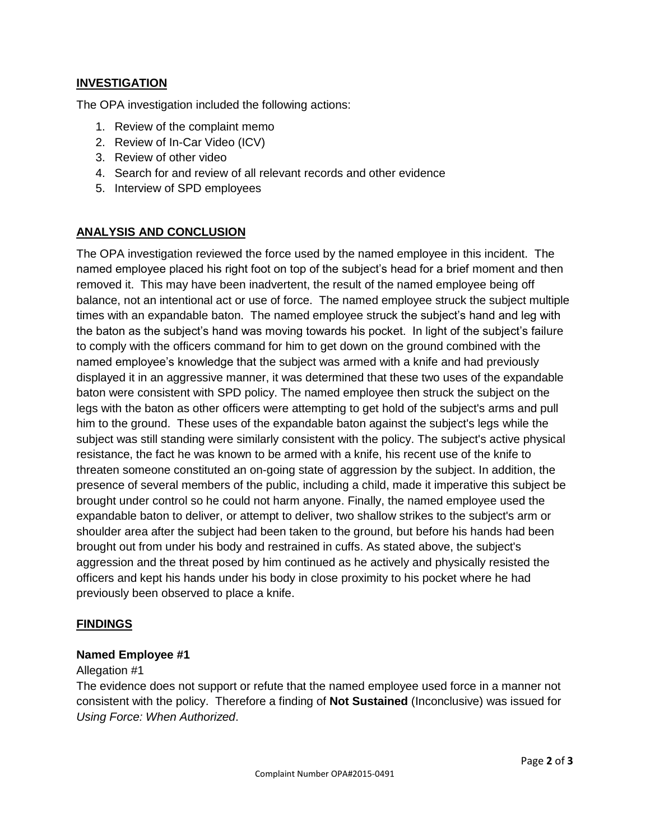## **INVESTIGATION**

The OPA investigation included the following actions:

- 1. Review of the complaint memo
- 2. Review of In-Car Video (ICV)
- 3. Review of other video
- 4. Search for and review of all relevant records and other evidence
- 5. Interview of SPD employees

## **ANALYSIS AND CONCLUSION**

The OPA investigation reviewed the force used by the named employee in this incident. The named employee placed his right foot on top of the subject's head for a brief moment and then removed it. This may have been inadvertent, the result of the named employee being off balance, not an intentional act or use of force. The named employee struck the subject multiple times with an expandable baton. The named employee struck the subject's hand and leg with the baton as the subject's hand was moving towards his pocket. In light of the subject's failure to comply with the officers command for him to get down on the ground combined with the named employee's knowledge that the subject was armed with a knife and had previously displayed it in an aggressive manner, it was determined that these two uses of the expandable baton were consistent with SPD policy. The named employee then struck the subject on the legs with the baton as other officers were attempting to get hold of the subject's arms and pull him to the ground. These uses of the expandable baton against the subject's legs while the subject was still standing were similarly consistent with the policy. The subject's active physical resistance, the fact he was known to be armed with a knife, his recent use of the knife to threaten someone constituted an on-going state of aggression by the subject. In addition, the presence of several members of the public, including a child, made it imperative this subject be brought under control so he could not harm anyone. Finally, the named employee used the expandable baton to deliver, or attempt to deliver, two shallow strikes to the subject's arm or shoulder area after the subject had been taken to the ground, but before his hands had been brought out from under his body and restrained in cuffs. As stated above, the subject's aggression and the threat posed by him continued as he actively and physically resisted the officers and kept his hands under his body in close proximity to his pocket where he had previously been observed to place a knife.

### **FINDINGS**

#### **Named Employee #1**

#### Allegation #1

The evidence does not support or refute that the named employee used force in a manner not consistent with the policy. Therefore a finding of **Not Sustained** (Inconclusive) was issued for *Using Force: When Authorized*.